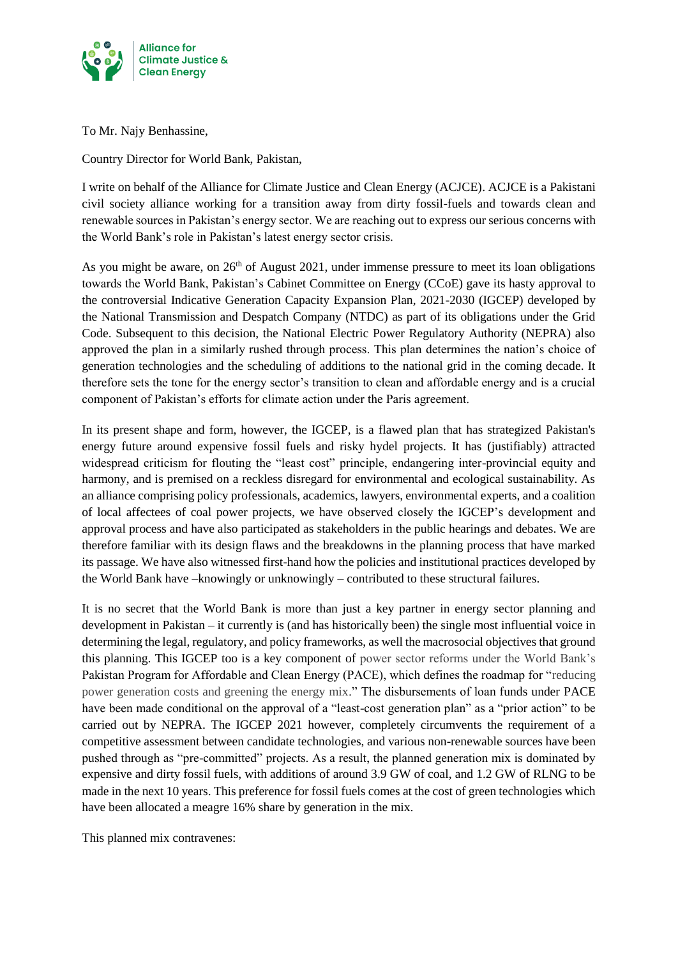

To Mr. Najy Benhassine,

Country Director for World Bank, Pakistan,

I write on behalf of the Alliance for Climate Justice and Clean Energy (ACJCE). ACJCE is a Pakistani civil society alliance working for a transition away from dirty fossil-fuels and towards clean and renewable sources in Pakistan's energy sector. We are reaching out to express our serious concerns with the World Bank's role in Pakistan's latest energy sector crisis.

As you might be aware, on  $26<sup>th</sup>$  of August 2021, under immense pressure to meet its loan obligations towards the World Bank, Pakistan's Cabinet Committee on Energy (CCoE) gave its hasty approval to the controversial Indicative Generation Capacity Expansion Plan, 2021-2030 (IGCEP) developed by the National Transmission and Despatch Company (NTDC) as part of its obligations under the Grid Code. Subsequent to this decision, the National Electric Power Regulatory Authority (NEPRA) also approved the plan in a similarly rushed through process. This plan determines the nation's choice of generation technologies and the scheduling of additions to the national grid in the coming decade. It therefore sets the tone for the energy sector's transition to clean and affordable energy and is a crucial component of Pakistan's efforts for climate action under the Paris agreement.

In its present shape and form, however, the IGCEP, is a flawed plan that has strategized Pakistan's energy future around expensive fossil fuels and risky hydel projects. It has (justifiably) attracted widespread criticism for flouting the "least cost" principle, endangering inter-provincial equity and harmony, and is premised on a reckless disregard for environmental and ecological sustainability. As an alliance comprising policy professionals, academics, lawyers, environmental experts, and a coalition of local affectees of coal power projects, we have observed closely the IGCEP's development and approval process and have also participated as stakeholders in the public hearings and debates. We are therefore familiar with its design flaws and the breakdowns in the planning process that have marked its passage. We have also witnessed first-hand how the policies and institutional practices developed by the World Bank have –knowingly or unknowingly – contributed to these structural failures.

It is no secret that the World Bank is more than just a key partner in energy sector planning and development in Pakistan – it currently is (and has historically been) the single most influential voice in determining the legal, regulatory, and policy frameworks, as well the macrosocial objectives that ground this planning. This IGCEP too is a key component of power sector reforms under the World Bank's Pakistan Program for Affordable and Clean Energy (PACE), which defines the roadmap for "reducing power generation costs and greening the energy mix." The disbursements of loan funds under PACE have been made conditional on the approval of a "least-cost generation plan" as a "prior action" to be carried out by NEPRA. The IGCEP 2021 however, completely circumvents the requirement of a competitive assessment between candidate technologies, and various non-renewable sources have been pushed through as "pre-committed" projects. As a result, the planned generation mix is dominated by expensive and dirty fossil fuels, with additions of around 3.9 GW of coal, and 1.2 GW of RLNG to be made in the next 10 years. This preference for fossil fuels comes at the cost of green technologies which have been allocated a meagre 16% share by generation in the mix.

This planned mix contravenes: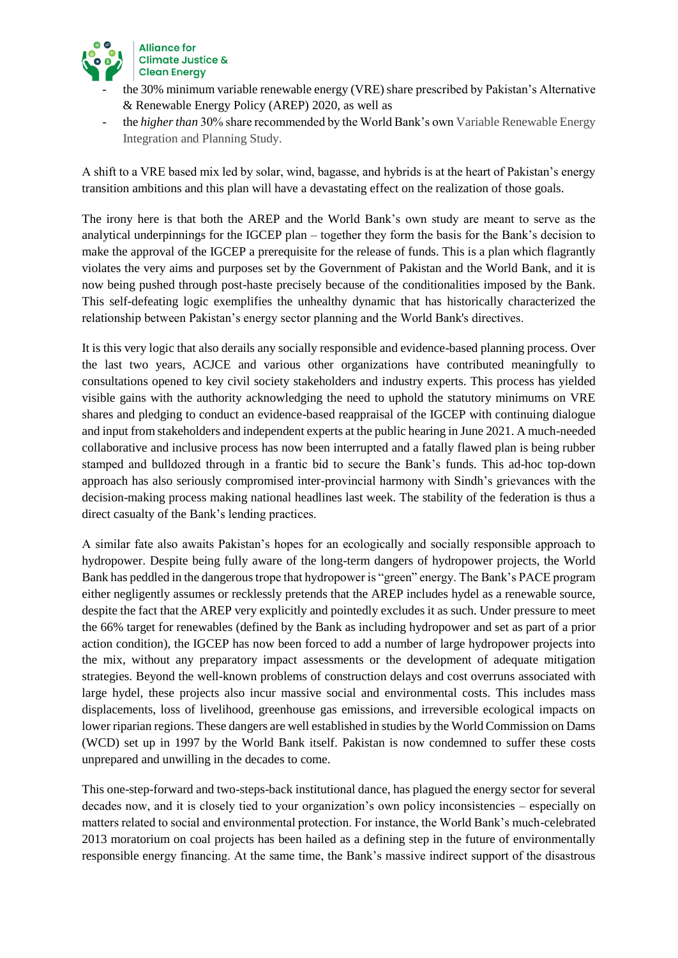

- the 30% minimum variable renewable energy (VRE) share prescribed by Pakistan's Alternative & Renewable Energy Policy (AREP) 2020, as well as
- the *higher than* 30% share recommended by the World Bank's own Variable Renewable Energy Integration and Planning Study.

A shift to a VRE based mix led by solar, wind, bagasse, and hybrids is at the heart of Pakistan's energy transition ambitions and this plan will have a devastating effect on the realization of those goals.

The irony here is that both the AREP and the World Bank's own study are meant to serve as the analytical underpinnings for the IGCEP plan – together they form the basis for the Bank's decision to make the approval of the IGCEP a prerequisite for the release of funds. This is a plan which flagrantly violates the very aims and purposes set by the Government of Pakistan and the World Bank, and it is now being pushed through post-haste precisely because of the conditionalities imposed by the Bank. This self-defeating logic exemplifies the unhealthy dynamic that has historically characterized the relationship between Pakistan's energy sector planning and the World Bank's directives.

It is this very logic that also derails any socially responsible and evidence-based planning process. Over the last two years, ACJCE and various other organizations have contributed meaningfully to consultations opened to key civil society stakeholders and industry experts. This process has yielded visible gains with the authority acknowledging the need to uphold the statutory minimums on VRE shares and pledging to conduct an evidence-based reappraisal of the IGCEP with continuing dialogue and input from stakeholders and independent experts at the public hearing in June 2021. A much-needed collaborative and inclusive process has now been interrupted and a fatally flawed plan is being rubber stamped and bulldozed through in a frantic bid to secure the Bank's funds. This ad-hoc top-down approach has also seriously compromised inter-provincial harmony with Sindh's grievances with the decision-making process making national headlines last week. The stability of the federation is thus a direct casualty of the Bank's lending practices.

A similar fate also awaits Pakistan's hopes for an ecologically and socially responsible approach to hydropower. Despite being fully aware of the long-term dangers of hydropower projects, the World Bank has peddled in the dangerous trope that hydropower is "green" energy. The Bank's PACE program either negligently assumes or recklessly pretends that the AREP includes hydel as a renewable source, despite the fact that the AREP very explicitly and pointedly excludes it as such. Under pressure to meet the 66% target for renewables (defined by the Bank as including hydropower and set as part of a prior action condition), the IGCEP has now been forced to add a number of large hydropower projects into the mix, without any preparatory impact assessments or the development of adequate mitigation strategies. Beyond the well-known problems of construction delays and cost overruns associated with large hydel, these projects also incur massive social and environmental costs. This includes mass displacements, loss of livelihood, greenhouse gas emissions, and irreversible ecological impacts on lower riparian regions. These dangers are well established in studies by the World Commission on Dams (WCD) set up in 1997 by the World Bank itself. Pakistan is now condemned to suffer these costs unprepared and unwilling in the decades to come.

This one-step-forward and two-steps-back institutional dance, has plagued the energy sector for several decades now, and it is closely tied to your organization's own policy inconsistencies – especially on matters related to social and environmental protection. For instance, the World Bank's much-celebrated 2013 moratorium on coal projects has been hailed as a defining step in the future of environmentally responsible energy financing. At the same time, the Bank's massive indirect support of the disastrous